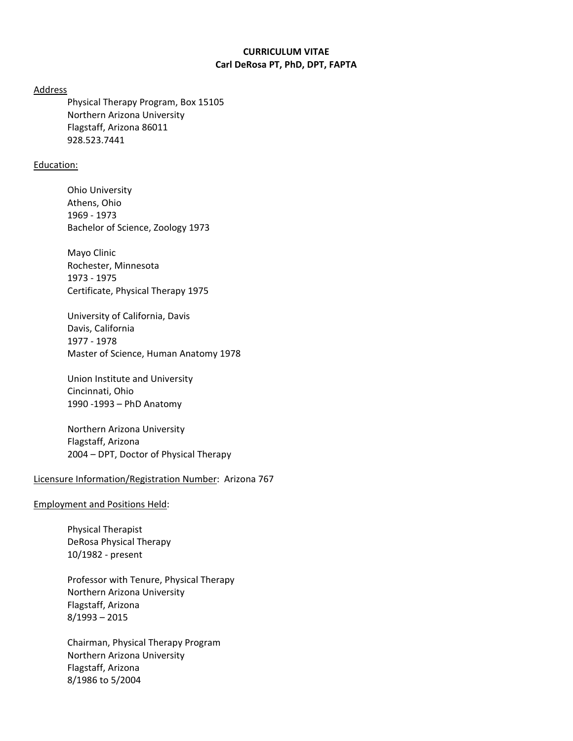# **CURRICULUM VITAE Carl DeRosa PT, PhD, DPT, FAPTA**

Address

Physical Therapy Program, Box 15105 Northern Arizona University Flagstaff, Arizona 86011 928.523.7441

## Education:

Ohio University Athens, Ohio 1969 - 1973 Bachelor of Science, Zoology 1973

Mayo Clinic Rochester, Minnesota 1973 - 1975 Certificate, Physical Therapy 1975

University of California, Davis Davis, California 1977 - 1978 Master of Science, Human Anatomy 1978

Union Institute and University Cincinnati, Ohio 1990 -1993 – PhD Anatomy

Northern Arizona University Flagstaff, Arizona 2004 – DPT, Doctor of Physical Therapy

## Licensure Information/Registration Number: Arizona 767

Employment and Positions Held:

Physical Therapist DeRosa Physical Therapy 10/1982 - present

Professor with Tenure, Physical Therapy Northern Arizona University Flagstaff, Arizona 8/1993 – 2015

Chairman, Physical Therapy Program Northern Arizona University Flagstaff, Arizona 8/1986 to 5/2004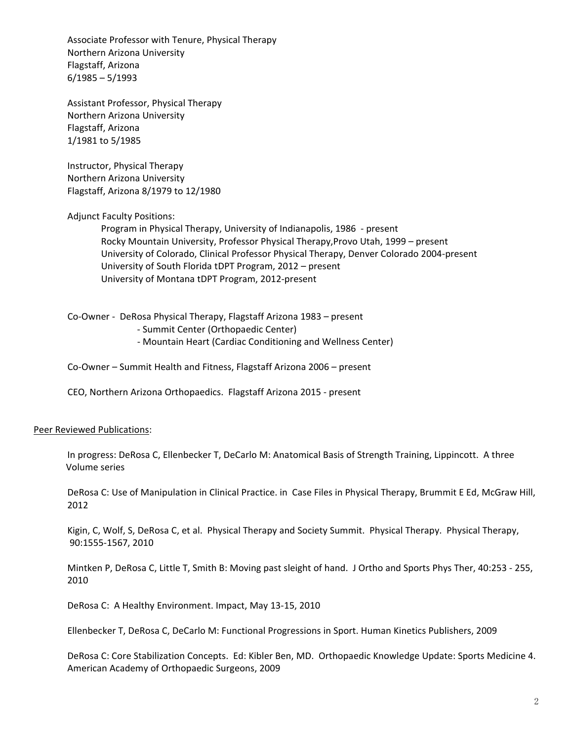Associate Professor with Tenure, Physical Therapy Northern Arizona University Flagstaff, Arizona 6/1985 – 5/1993

Assistant Professor, Physical Therapy Northern Arizona University Flagstaff, Arizona 1/1981 to 5/1985

Instructor, Physical Therapy Northern Arizona University Flagstaff, Arizona 8/1979 to 12/1980

Adjunct Faculty Positions:

Program in Physical Therapy, University of Indianapolis, 1986 - present Rocky Mountain University, Professor Physical Therapy,Provo Utah, 1999 – present University of Colorado, Clinical Professor Physical Therapy, Denver Colorado 2004-present University of South Florida tDPT Program, 2012 – present University of Montana tDPT Program, 2012-present

Co-Owner - DeRosa Physical Therapy, Flagstaff Arizona 1983 – present - Summit Center (Orthopaedic Center)

- Mountain Heart (Cardiac Conditioning and Wellness Center)

Co-Owner – Summit Health and Fitness, Flagstaff Arizona 2006 – present

CEO, Northern Arizona Orthopaedics. Flagstaff Arizona 2015 - present

### Peer Reviewed Publications:

In progress: DeRosa C, Ellenbecker T, DeCarlo M: Anatomical Basis of Strength Training, Lippincott. A three Volume series

DeRosa C: Use of Manipulation in Clinical Practice. in Case Files in Physical Therapy, Brummit E Ed, McGraw Hill, 2012

Kigin, C, Wolf, S, DeRosa C, et al. Physical Therapy and Society Summit. Physical Therapy. Physical Therapy, 90:1555-1567, 2010

Mintken P, DeRosa C, Little T, Smith B: Moving past sleight of hand. J Ortho and Sports Phys Ther, 40:253 - 255, 2010

DeRosa C: A Healthy Environment. Impact, May 13-15, 2010

Ellenbecker T, DeRosa C, DeCarlo M: Functional Progressions in Sport. Human Kinetics Publishers, 2009

DeRosa C: Core Stabilization Concepts. Ed: Kibler Ben, MD. Orthopaedic Knowledge Update: Sports Medicine 4. American Academy of Orthopaedic Surgeons, 2009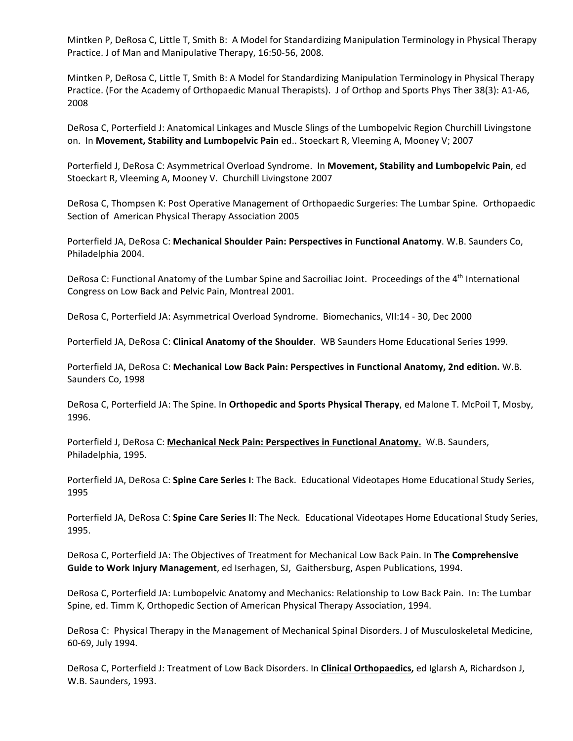Mintken P, DeRosa C, Little T, Smith B: A Model for Standardizing Manipulation Terminology in Physical Therapy Practice. J of Man and Manipulative Therapy, 16:50-56, 2008.

Mintken P, DeRosa C, Little T, Smith B: A Model for Standardizing Manipulation Terminology in Physical Therapy Practice. (For the Academy of Orthopaedic Manual Therapists). J of Orthop and Sports Phys Ther 38(3): A1-A6, 2008

DeRosa C, Porterfield J: Anatomical Linkages and Muscle Slings of the Lumbopelvic Region Churchill Livingstone on. In **Movement, Stability and Lumbopelvic Pain** ed.. Stoeckart R, Vleeming A, Mooney V; 2007

Porterfield J, DeRosa C: Asymmetrical Overload Syndrome. In **Movement, Stability and Lumbopelvic Pain**, ed Stoeckart R, Vleeming A, Mooney V. Churchill Livingstone 2007

DeRosa C, Thompsen K: Post Operative Management of Orthopaedic Surgeries: The Lumbar Spine. Orthopaedic Section of American Physical Therapy Association 2005

Porterfield JA, DeRosa C: **Mechanical Shoulder Pain: Perspectives in Functional Anatomy**. W.B. Saunders Co, Philadelphia 2004.

DeRosa C: Functional Anatomy of the Lumbar Spine and Sacroiliac Joint. Proceedings of the 4<sup>th</sup> International Congress on Low Back and Pelvic Pain, Montreal 2001.

DeRosa C, Porterfield JA: Asymmetrical Overload Syndrome. Biomechanics, VII:14 - 30, Dec 2000

Porterfield JA, DeRosa C: **Clinical Anatomy of the Shoulder**. WB Saunders Home Educational Series 1999.

Porterfield JA, DeRosa C: **Mechanical Low Back Pain: Perspectives in Functional Anatomy, 2nd edition.** W.B. Saunders Co, 1998

DeRosa C, Porterfield JA: The Spine. In **Orthopedic and Sports Physical Therapy**, ed Malone T. McPoil T, Mosby, 1996.

Porterfield J, DeRosa C: **Mechanical Neck Pain: Perspectives in Functional Anatomy.** W.B. Saunders, Philadelphia, 1995.

Porterfield JA, DeRosa C: **Spine Care Series I**: The Back. Educational Videotapes Home Educational Study Series, 1995

Porterfield JA, DeRosa C: **Spine Care Series II**: The Neck. Educational Videotapes Home Educational Study Series, 1995.

DeRosa C, Porterfield JA: The Objectives of Treatment for Mechanical Low Back Pain. In **The Comprehensive Guide to Work Injury Management**, ed Iserhagen, SJ, Gaithersburg, Aspen Publications, 1994.

DeRosa C, Porterfield JA: Lumbopelvic Anatomy and Mechanics: Relationship to Low Back Pain. In: The Lumbar Spine, ed. Timm K, Orthopedic Section of American Physical Therapy Association, 1994.

DeRosa C: Physical Therapy in the Management of Mechanical Spinal Disorders. J of Musculoskeletal Medicine, 60-69, July 1994.

DeRosa C, Porterfield J: Treatment of Low Back Disorders. In **Clinical Orthopaedics,** ed Iglarsh A, Richardson J, W.B. Saunders, 1993.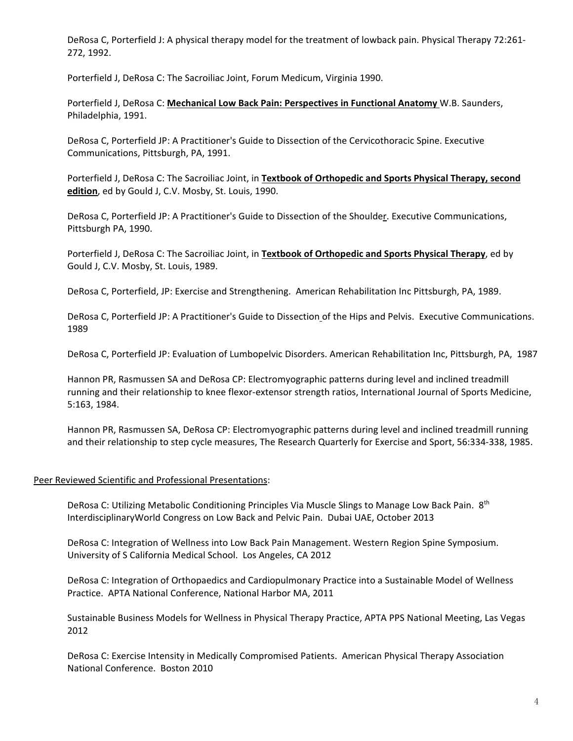DeRosa C, Porterfield J: A physical therapy model for the treatment of lowback pain. Physical Therapy 72:261- 272, 1992.

Porterfield J, DeRosa C: The Sacroiliac Joint, Forum Medicum, Virginia 1990.

Porterfield J, DeRosa C: **Mechanical Low Back Pain: Perspectives in Functional Anatomy** W.B. Saunders, Philadelphia, 1991.

DeRosa C, Porterfield JP: A Practitioner's Guide to Dissection of the Cervicothoracic Spine. Executive Communications, Pittsburgh, PA, 1991.

Porterfield J, DeRosa C: The Sacroiliac Joint, in **Textbook of Orthopedic and Sports Physical Therapy, second edition**, ed by Gould J, C.V. Mosby, St. Louis, 1990.

DeRosa C, Porterfield JP: A Practitioner's Guide to Dissection of the Shoulder. Executive Communications, Pittsburgh PA, 1990.

Porterfield J, DeRosa C: The Sacroiliac Joint, in **Textbook of Orthopedic and Sports Physical Therapy**, ed by Gould J, C.V. Mosby, St. Louis, 1989.

DeRosa C, Porterfield, JP: Exercise and Strengthening. American Rehabilitation Inc Pittsburgh, PA, 1989.

DeRosa C, Porterfield JP: A Practitioner's Guide to Dissection of the Hips and Pelvis. Executive Communications. 1989

DeRosa C, Porterfield JP: Evaluation of Lumbopelvic Disorders. American Rehabilitation Inc, Pittsburgh, PA, 1987

Hannon PR, Rasmussen SA and DeRosa CP: Electromyographic patterns during level and inclined treadmill running and their relationship to knee flexor-extensor strength ratios, International Journal of Sports Medicine, 5:163, 1984.

Hannon PR, Rasmussen SA, DeRosa CP: Electromyographic patterns during level and inclined treadmill running and their relationship to step cycle measures, The Research Quarterly for Exercise and Sport, 56:334-338, 1985.

## Peer Reviewed Scientific and Professional Presentations:

DeRosa C: Utilizing Metabolic Conditioning Principles Via Muscle Slings to Manage Low Back Pain. 8<sup>th</sup> InterdisciplinaryWorld Congress on Low Back and Pelvic Pain. Dubai UAE, October 2013

DeRosa C: Integration of Wellness into Low Back Pain Management. Western Region Spine Symposium. University of S California Medical School. Los Angeles, CA 2012

DeRosa C: Integration of Orthopaedics and Cardiopulmonary Practice into a Sustainable Model of Wellness Practice. APTA National Conference, National Harbor MA, 2011

Sustainable Business Models for Wellness in Physical Therapy Practice, APTA PPS National Meeting, Las Vegas 2012

DeRosa C: Exercise Intensity in Medically Compromised Patients. American Physical Therapy Association National Conference. Boston 2010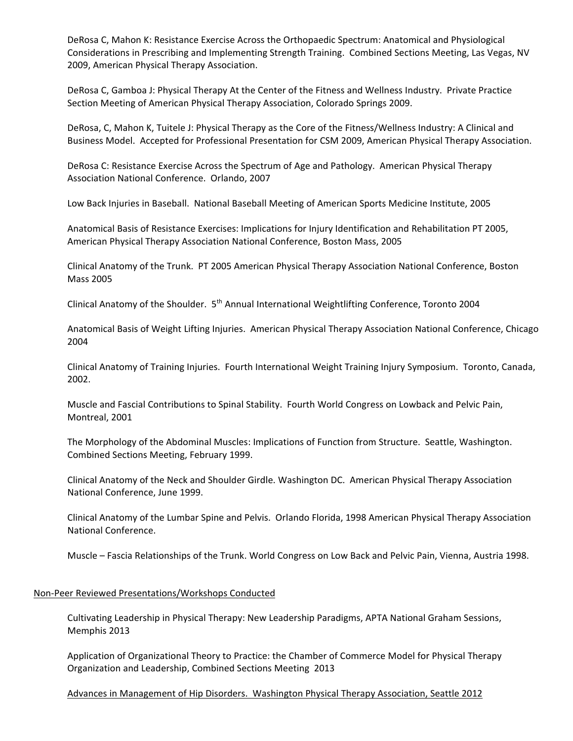DeRosa C, Mahon K: Resistance Exercise Across the Orthopaedic Spectrum: Anatomical and Physiological Considerations in Prescribing and Implementing Strength Training. Combined Sections Meeting, Las Vegas, NV 2009, American Physical Therapy Association.

DeRosa C, Gamboa J: Physical Therapy At the Center of the Fitness and Wellness Industry. Private Practice Section Meeting of American Physical Therapy Association, Colorado Springs 2009.

DeRosa, C, Mahon K, Tuitele J: Physical Therapy as the Core of the Fitness/Wellness Industry: A Clinical and Business Model. Accepted for Professional Presentation for CSM 2009, American Physical Therapy Association.

DeRosa C: Resistance Exercise Across the Spectrum of Age and Pathology. American Physical Therapy Association National Conference. Orlando, 2007

Low Back Injuries in Baseball. National Baseball Meeting of American Sports Medicine Institute, 2005

Anatomical Basis of Resistance Exercises: Implications for Injury Identification and Rehabilitation PT 2005, American Physical Therapy Association National Conference, Boston Mass, 2005

Clinical Anatomy of the Trunk. PT 2005 American Physical Therapy Association National Conference, Boston Mass 2005

Clinical Anatomy of the Shoulder. 5th Annual International Weightlifting Conference, Toronto 2004

Anatomical Basis of Weight Lifting Injuries. American Physical Therapy Association National Conference, Chicago 2004

Clinical Anatomy of Training Injuries. Fourth International Weight Training Injury Symposium. Toronto, Canada, 2002.

Muscle and Fascial Contributions to Spinal Stability. Fourth World Congress on Lowback and Pelvic Pain, Montreal, 2001

The Morphology of the Abdominal Muscles: Implications of Function from Structure. Seattle, Washington. Combined Sections Meeting, February 1999.

Clinical Anatomy of the Neck and Shoulder Girdle. Washington DC. American Physical Therapy Association National Conference, June 1999.

Clinical Anatomy of the Lumbar Spine and Pelvis. Orlando Florida, 1998 American Physical Therapy Association National Conference.

Muscle – Fascia Relationships of the Trunk. World Congress on Low Back and Pelvic Pain, Vienna, Austria 1998.

### Non-Peer Reviewed Presentations/Workshops Conducted

Cultivating Leadership in Physical Therapy: New Leadership Paradigms, APTA National Graham Sessions, Memphis 2013

Application of Organizational Theory to Practice: the Chamber of Commerce Model for Physical Therapy Organization and Leadership, Combined Sections Meeting 2013

### Advances in Management of Hip Disorders. Washington Physical Therapy Association, Seattle 2012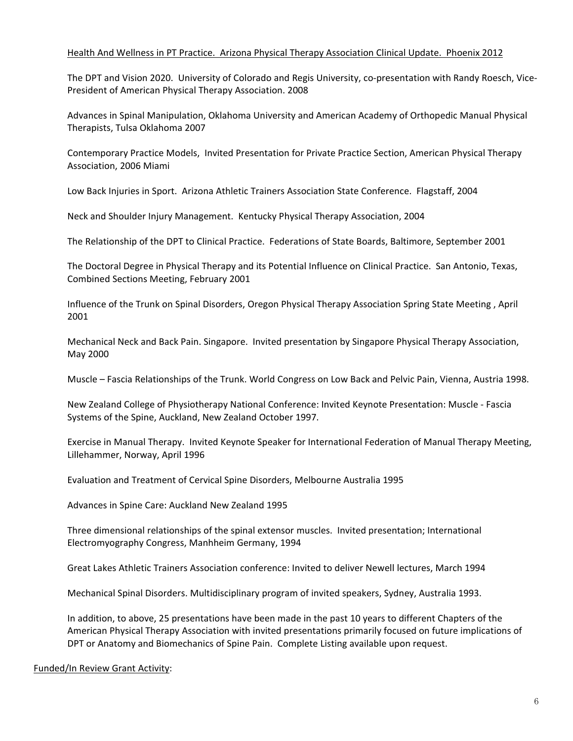## Health And Wellness in PT Practice. Arizona Physical Therapy Association Clinical Update. Phoenix 2012

The DPT and Vision 2020. University of Colorado and Regis University, co-presentation with Randy Roesch, Vice-President of American Physical Therapy Association. 2008

Advances in Spinal Manipulation, Oklahoma University and American Academy of Orthopedic Manual Physical Therapists, Tulsa Oklahoma 2007

Contemporary Practice Models, Invited Presentation for Private Practice Section, American Physical Therapy Association, 2006 Miami

Low Back Injuries in Sport. Arizona Athletic Trainers Association State Conference. Flagstaff, 2004

Neck and Shoulder Injury Management. Kentucky Physical Therapy Association, 2004

The Relationship of the DPT to Clinical Practice. Federations of State Boards, Baltimore, September 2001

The Doctoral Degree in Physical Therapy and its Potential Influence on Clinical Practice. San Antonio, Texas, Combined Sections Meeting, February 2001

Influence of the Trunk on Spinal Disorders, Oregon Physical Therapy Association Spring State Meeting , April 2001

Mechanical Neck and Back Pain. Singapore. Invited presentation by Singapore Physical Therapy Association, May 2000

Muscle – Fascia Relationships of the Trunk. World Congress on Low Back and Pelvic Pain, Vienna, Austria 1998.

New Zealand College of Physiotherapy National Conference: Invited Keynote Presentation: Muscle - Fascia Systems of the Spine, Auckland, New Zealand October 1997.

Exercise in Manual Therapy. Invited Keynote Speaker for International Federation of Manual Therapy Meeting, Lillehammer, Norway, April 1996

Evaluation and Treatment of Cervical Spine Disorders, Melbourne Australia 1995

Advances in Spine Care: Auckland New Zealand 1995

Three dimensional relationships of the spinal extensor muscles. Invited presentation; International Electromyography Congress, Manhheim Germany, 1994

Great Lakes Athletic Trainers Association conference: Invited to deliver Newell lectures, March 1994

Mechanical Spinal Disorders. Multidisciplinary program of invited speakers, Sydney, Australia 1993.

In addition, to above, 25 presentations have been made in the past 10 years to different Chapters of the American Physical Therapy Association with invited presentations primarily focused on future implications of DPT or Anatomy and Biomechanics of Spine Pain. Complete Listing available upon request.

Funded/In Review Grant Activity: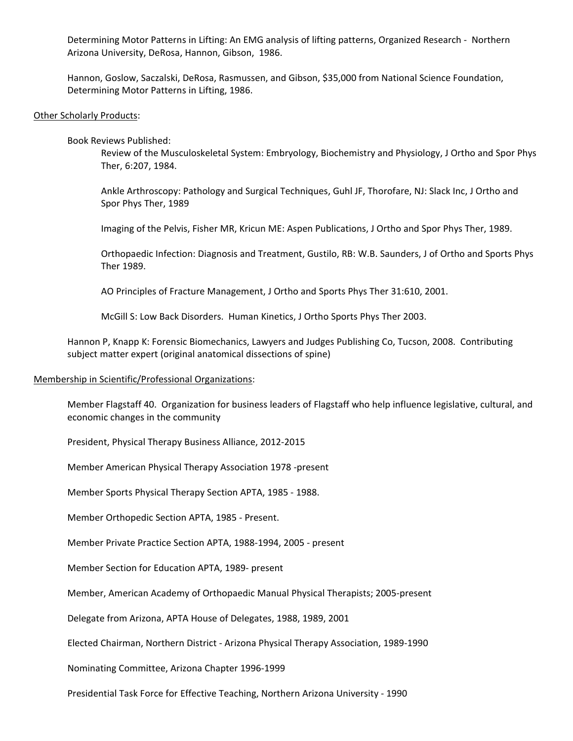Determining Motor Patterns in Lifting: An EMG analysis of lifting patterns, Organized Research - Northern Arizona University, DeRosa, Hannon, Gibson, 1986.

Hannon, Goslow, Saczalski, DeRosa, Rasmussen, and Gibson, \$35,000 from National Science Foundation, Determining Motor Patterns in Lifting, 1986.

#### Other Scholarly Products:

Book Reviews Published:

Review of the Musculoskeletal System: Embryology, Biochemistry and Physiology, J Ortho and Spor Phys Ther, 6:207, 1984.

Ankle Arthroscopy: Pathology and Surgical Techniques, Guhl JF, Thorofare, NJ: Slack Inc, J Ortho and Spor Phys Ther, 1989

Imaging of the Pelvis, Fisher MR, Kricun ME: Aspen Publications, J Ortho and Spor Phys Ther, 1989.

Orthopaedic Infection: Diagnosis and Treatment, Gustilo, RB: W.B. Saunders, J of Ortho and Sports Phys Ther 1989.

AO Principles of Fracture Management, J Ortho and Sports Phys Ther 31:610, 2001.

McGill S: Low Back Disorders. Human Kinetics, J Ortho Sports Phys Ther 2003.

Hannon P, Knapp K: Forensic Biomechanics, Lawyers and Judges Publishing Co, Tucson, 2008. Contributing subject matter expert (original anatomical dissections of spine)

#### Membership in Scientific/Professional Organizations:

Member Flagstaff 40. Organization for business leaders of Flagstaff who help influence legislative, cultural, and economic changes in the community

President, Physical Therapy Business Alliance, 2012-2015

Member American Physical Therapy Association 1978 -present

Member Sports Physical Therapy Section APTA, 1985 - 1988.

Member Orthopedic Section APTA, 1985 - Present.

Member Private Practice Section APTA, 1988-1994, 2005 - present

Member Section for Education APTA, 1989- present

Member, American Academy of Orthopaedic Manual Physical Therapists; 2005-present

Delegate from Arizona, APTA House of Delegates, 1988, 1989, 2001

Elected Chairman, Northern District - Arizona Physical Therapy Association, 1989-1990

Nominating Committee, Arizona Chapter 1996-1999

Presidential Task Force for Effective Teaching, Northern Arizona University - 1990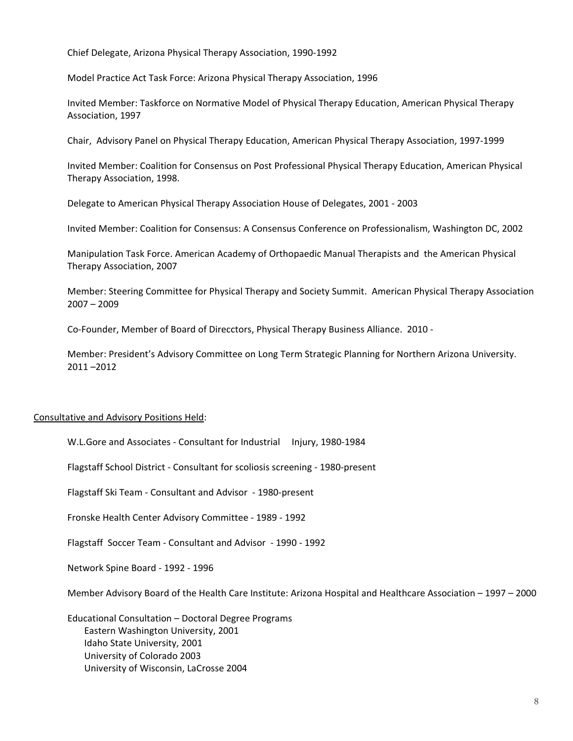Chief Delegate, Arizona Physical Therapy Association, 1990-1992

Model Practice Act Task Force: Arizona Physical Therapy Association, 1996

Invited Member: Taskforce on Normative Model of Physical Therapy Education, American Physical Therapy Association, 1997

Chair, Advisory Panel on Physical Therapy Education, American Physical Therapy Association, 1997-1999

Invited Member: Coalition for Consensus on Post Professional Physical Therapy Education, American Physical Therapy Association, 1998.

Delegate to American Physical Therapy Association House of Delegates, 2001 - 2003

Invited Member: Coalition for Consensus: A Consensus Conference on Professionalism, Washington DC, 2002

Manipulation Task Force. American Academy of Orthopaedic Manual Therapists and the American Physical Therapy Association, 2007

Member: Steering Committee for Physical Therapy and Society Summit. American Physical Therapy Association 2007 – 2009

Co-Founder, Member of Board of Direcctors, Physical Therapy Business Alliance. 2010 -

Member: President's Advisory Committee on Long Term Strategic Planning for Northern Arizona University. 2011 –2012

## Consultative and Advisory Positions Held:

W.L.Gore and Associates - Consultant for Industrial Injury, 1980-1984

Flagstaff School District - Consultant for scoliosis screening - 1980-present

Flagstaff Ski Team - Consultant and Advisor - 1980-present

Fronske Health Center Advisory Committee - 1989 - 1992

Flagstaff Soccer Team - Consultant and Advisor - 1990 - 1992

Network Spine Board - 1992 - 1996

Member Advisory Board of the Health Care Institute: Arizona Hospital and Healthcare Association – 1997 – 2000

Educational Consultation – Doctoral Degree Programs Eastern Washington University, 2001 Idaho State University, 2001 University of Colorado 2003 University of Wisconsin, LaCrosse 2004